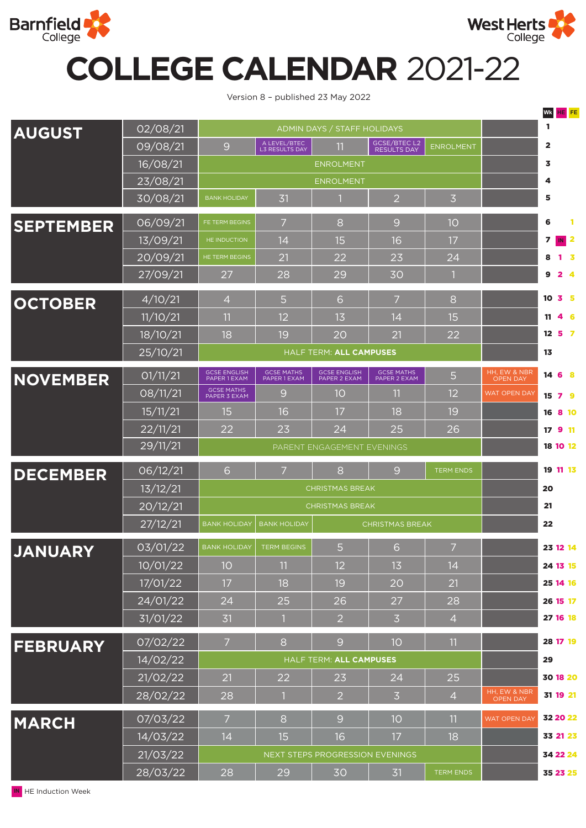



## **COLLEGE CALENDAR** 2021-22

Version 8 – published 23 May 2022

|                  |                   |                                                                      |                                       |                                     |                                   |                  |                                 | WK HE FE                     |
|------------------|-------------------|----------------------------------------------------------------------|---------------------------------------|-------------------------------------|-----------------------------------|------------------|---------------------------------|------------------------------|
| <b>AUGUST</b>    | 02/08/21          | ADMIN DAYS / STAFF HOLIDAYS                                          |                                       |                                     |                                   |                  |                                 | П                            |
|                  | 09/08/21          | 9                                                                    | A LEVEL/BTEC<br><b>L3 RESULTS DAY</b> | 11                                  | <b>GCSE/BTECL2</b><br>RESULTS DAY | <b>ENROLMENT</b> |                                 | $\overline{\mathbf{2}}$      |
|                  | 16/08/21          |                                                                      |                                       | 3                                   |                                   |                  |                                 |                              |
|                  | 23/08/21          |                                                                      |                                       | 4                                   |                                   |                  |                                 |                              |
|                  | 30/08/21          | <b>BANK HOLIDAY</b>                                                  | 31                                    |                                     | $\overline{2}$                    | $\overline{3}$   |                                 | 5                            |
| <b>SEPTEMBER</b> | 06/09/21          | FE TERM BEGINS                                                       | $\overline{7}$                        | 8                                   | 9                                 | 10               |                                 | 6                            |
|                  | 13/09/21          | <b>HE INDUCTION</b>                                                  | 14                                    | 15                                  | 16                                | 17               |                                 | 7<br>IN <sup>2</sup>         |
|                  | 20/09/21          | HE TERM BEGINS                                                       | 21                                    | 22                                  | 23                                | 24               |                                 | $\overline{\mathbf{3}}$<br>8 |
|                  | 27/09/21          | 27                                                                   | 28                                    | 29                                  | 30                                |                  |                                 | 2 <sub>4</sub><br>9          |
| <b>OCTOBER</b>   | 4/10/21           | $\overline{4}$                                                       | 5                                     | 6                                   | $\overline{7}$                    | 8                |                                 | 3 <sub>5</sub><br>10         |
|                  | 11/10/21          | 11                                                                   | 12                                    | 13                                  | 14                                | 15               |                                 | 4 6<br>11                    |
|                  | 18/10/21          | 18                                                                   | 19                                    | 20                                  | 21                                | 22               |                                 | 5 <sub>7</sub><br>12         |
|                  | 25/10/21          |                                                                      |                                       | 13                                  |                                   |                  |                                 |                              |
| <b>NOVEMBER</b>  | O1/11/21          | <b>GCSE ENGLISH</b><br>PAPER 1 EXAM                                  | <b>GCSE MATHS</b><br>PAPER 1 EXAM     | <b>GCSE ENGLISH</b><br>PAPER 2 EXAM | <b>GCSE MATHS</b><br>PAPER 2 EXAM | 5                | HH, EW & NBR<br><b>OPEN DAY</b> | 14 6 8                       |
|                  | 08/11/21          | <b>GCSE MATHS</b><br>PAPER 3 EXAM                                    | 9                                     | 10                                  | 11                                | 12               | <b>WAT OPEN DAY</b>             | 15<br>79                     |
|                  | 15/11/21          | 15                                                                   | 16                                    | 17                                  | 18                                | 19               |                                 | 8 10<br>16                   |
|                  | 22/11/21          | 22                                                                   | 23                                    | 24                                  | 25                                | 26               |                                 | 17 9 11                      |
|                  | 29/11/21          |                                                                      |                                       | PARENT ENGAGEMENT EVENINGS          |                                   |                  |                                 | 18 10 12                     |
| <b>DECEMBER</b>  | 06/12/21          | 6                                                                    | $\overline{7}$                        | 8                                   | 9                                 | <b>TERM ENDS</b> |                                 | 19 11 13                     |
|                  | 13/12/21          |                                                                      |                                       | 20                                  |                                   |                  |                                 |                              |
|                  | 20/12/21          | <b>CHRISTMAS BREAK</b>                                               |                                       |                                     |                                   |                  |                                 | 21                           |
|                  | 27/12/21          | <b>BANK HOLIDAY</b><br><b>BANK HOLIDAY</b><br><b>CHRISTMAS BREAK</b> |                                       |                                     |                                   |                  |                                 | 22                           |
| <b>JANUARY</b>   | 03/01/22          | <b>BANK HOLIDAY</b>                                                  | <b>TERM BEGINS</b>                    | 5                                   | 6                                 | $\overline{7}$   |                                 | 23 12 14                     |
|                  | 10/01/22          | 10                                                                   | 11                                    | 12                                  | 13                                | 14               |                                 | 24 13 15                     |
|                  | 17/01/22          | 17                                                                   | 18                                    | 19                                  | 20                                | 21               |                                 | 25 14 16                     |
|                  | 24/01/22          | 24                                                                   | 25                                    | 26                                  | 27                                | 28               |                                 | 26 15 17                     |
|                  | 31/01/22          | 31                                                                   |                                       | $\overline{2}$                      | $\overline{3}$                    | $\overline{4}$   |                                 | 27 16 18                     |
| <b>FEBRUARY</b>  | 07/02/22          | $\overline{7}$                                                       | 8                                     | 9                                   | 10                                | 11               |                                 | 28 17 19                     |
|                  | 14/02/22          |                                                                      |                                       | 29                                  |                                   |                  |                                 |                              |
|                  | $\sqrt{21/02/22}$ | 21                                                                   | 22                                    | 23                                  | 24                                | 25               |                                 | 30 18 20                     |
|                  | 28/02/22          | 28                                                                   |                                       | $\overline{2}$                      | $\overline{3}$                    | $\overline{4}$   | HH, EW & NBR<br><b>OPEN DAY</b> | 31 19 21                     |
| <b>MARCH</b>     | 07/03/22          | 7                                                                    | 8                                     | 9                                   | 10                                | 11               | <b>WAT OPEN DAY</b>             | 32 20 22                     |
|                  | 14/03/22          | 14                                                                   | 15                                    | 16                                  | 17                                | 18               |                                 | 33 21 23                     |
|                  | 21/03/22          |                                                                      |                                       | 34 22 24                            |                                   |                  |                                 |                              |
|                  |                   |                                                                      |                                       |                                     |                                   |                  |                                 |                              |

**IN** HE Induction Week